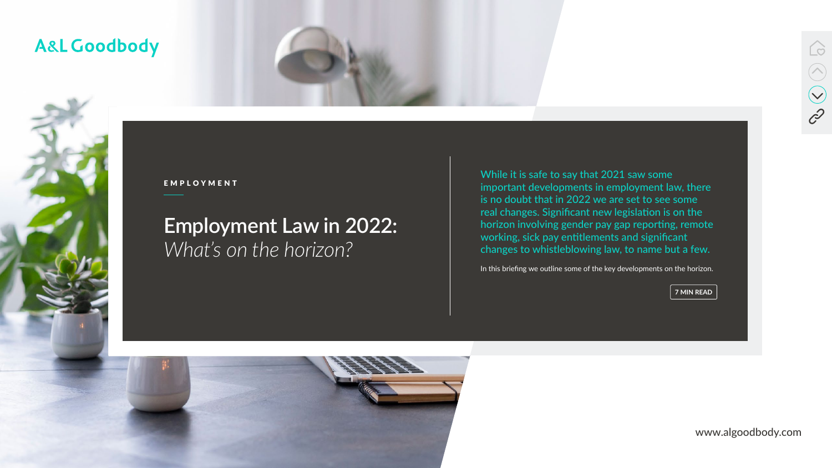www.algoodbody.com



# **Employment Law in 2022:**  *What's on the horizon?*

### A&L Goodbody





EMPLOYMENT

While it is safe to say that 2021 saw some important developments in employment law, there is no doubt that in 2022 we are set to see some real changes. Significant new legislation is on the horizon involving gender pay gap reporting, remote working, sick pay entitlements and significant changes to whistleblowing law, to name but a few.

In this briefing we outline some of the key developments on the horizon.

**7 MIN READ**

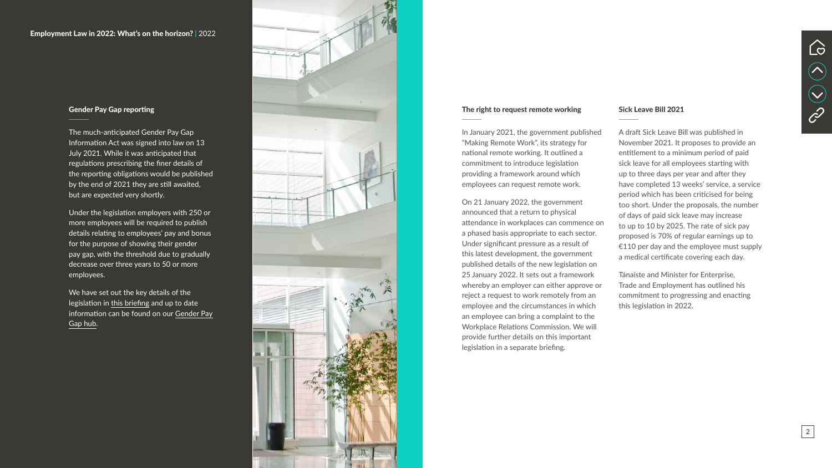#### The right to request remote working

In January 2021, the government published "Making Remote Work", its strategy for national remote working. It outlined a commitment to introduce legislation providing a framework around which employees can request remote work.

On 21 January 2022, the government announced that a return to physical attendance in workplaces can commence on a phased basis appropriate to each sector. Under significant pressure as a result of this latest development, the government published details of the new legislation on 25 January 2022. It sets out a framework whereby an employer can either approve or reject a request to work remotely from an employee and the circumstances in which an employee can bring a complaint to the Workplace Relations Commission. We will provide further details on this important legislation in a separate briefing.

#### Sick Leave Bill 2021

A draft Sick Leave Bill was published in November 2021. It proposes to provide an entitlement to a minimum period of paid sick leave for all employees starting with up to three days per year and after they have completed 13 weeks' service, a service period which has been criticised for being too short. Under the proposals, the number of days of paid sick leave may increase to up to 10 by 2025. The rate of sick pay proposed is 70% of regular earnings up to €110 per day and the employee must supply a medical certificate covering each day.

Tánaiste and Minister for Enterprise, Trade and Employment has outlined his commitment to progressing and enacting this legislation in 2022.



#### Employment Law in 2022: What's on the horizon? **|** 2022



#### Gender Pay Gap reporting

The much-anticipated Gender Pay Gap Information Act was signed into law on 13 July 2021. While it was anticipated that regulations prescribing the finer details of the reporting obligations would be published by the end of 2021 they are still awaited, but are expected very shortly.

Under the legislation employers with 250 or more employees will be required to publish details relating to employees' pay and bonus for the purpose of showing their gender pay gap, with the threshold due to gradually decrease over three years to 50 or more employees.

We have set out the key details of the legislation in [this briefing](https://www.algoodbody.com/insights-publications/gender-pay-gap-reporting-in-ireland-is-set-to-become-law) and up to date information can be found on our [Gender Pay](https://www.algoodbody.com/services/gender-pay-gap)  [Gap hub](https://www.algoodbody.com/services/gender-pay-gap) .

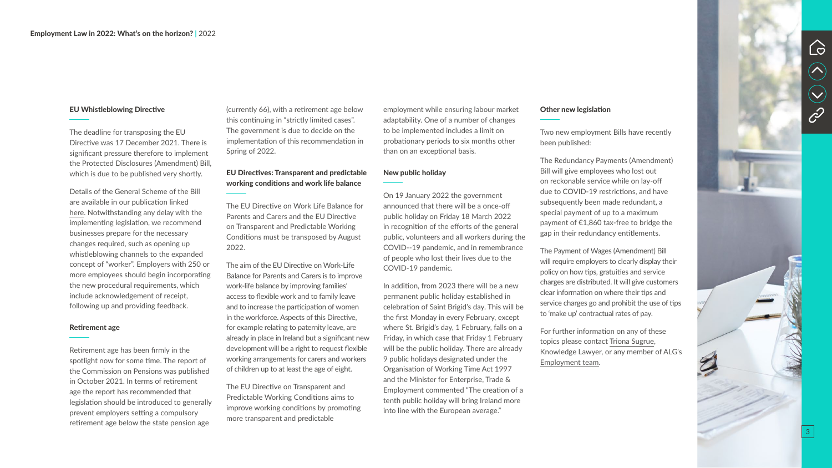#### EU Whistleblowing Directive

The deadline for transposing the EU Directive was 17 December 2021. There is significant pressure therefore to implement the Protected Disclosures (Amendment) Bill, which is due to be published very shortly.

Details of the General Scheme of the Bill are available in our publication linked [here](https://www.algoodbody.com/files/uploads/news_insights_pub/Upcoming_changes_to_Irelands_Whistleblowing_Regime.pdf). Notwithstanding any delay with the implementing legislation, we recommend businesses prepare for the necessary changes required, such as opening up whistleblowing channels to the expanded concept of "worker". Employers with 250 or more employees should begin incorporating the new procedural requirements, which include acknowledgement of receipt, following up and providing feedback.

#### Retirement age

Retirement age has been firmly in the spotlight now for some time. The report of the Commission on Pensions was published in October 2021. In terms of retirement age the report has recommended that legislation should be introduced to generally prevent employers setting a compulsory retirement age below the state pension age

(currently 66), with a retirement age below this continuing in "strictly limited cases". The government is due to decide on the implementation of this recommendation in Spring of 2022.

### EU Directives: Transparent and predictable working conditions and work life balance

The EU Directive on Work Life Balance for Parents and Carers and the EU Directive on Transparent and Predictable Working Conditions must be transposed by August 2022.

The aim of the EU Directive on Work-Life Balance for Parents and Carers is to improve work-life balance by improving families' access to flexible work and to family leave and to increase the participation of women in the workforce. Aspects of this Directive, for example relating to paternity leave, are already in place in Ireland but a significant new development will be a right to request flexible working arrangements for carers and workers of children up to at least the age of eight.

The EU Directive on Transparent and Predictable Working Conditions aims to improve working conditions by promoting more transparent and predictable

employment while ensuring labour market adaptability. One of a number of changes to be implemented includes a limit on probationary periods to six months other than on an exceptional basis.

#### New public holiday

On 19 January 2022 the government announced that there will be a once-off public holiday on Friday 18 March 2022 in recognition of the efforts of the general public, volunteers and all workers during the COVID--19 pandemic, and in remembrance of people who lost their lives due to the COVID-19 pandemic.

In addition, from 2023 there will be a new permanent public holiday established in celebration of Saint Brigid's day. This will be the first Monday in every February, except where St. Brigid's day, 1 February, falls on a Friday, in which case that Friday 1 February will be the public holiday. There are already 9 public holidays designated under the Organisation of Working Time Act 1997 and the Minister for Enterprise, Trade & Employment commented "The creation of a tenth public holiday will bring Ireland more into line with the European average."

#### Other new legislation

Two new employment Bills have recently been published:

The Redundancy Payments (Amendment) Bill will give employees who lost out on reckonable service while on lay-off due to COVID-19 restrictions, and have subsequently been made redundant, a special payment of up to a maximum payment of €1,860 tax-free to bridge the gap in their redundancy entitlements.

The Payment of Wages (Amendment) Bill will require employers to clearly display their policy on how tips, gratuities and service charges are distributed. It will give customers clear information on where their tips and service charges go and prohibit the use of tips to 'make up' contractual rates of pay.

For further information on any of these topics please contact [Triona Sugrue](https://www.algoodbody.com/our-people/triona-sugrue), Knowledge Lawyer, or any member of ALG's [Employment team](https://www.algoodbody.com/services/employment-pensions-incentives/employment) .





3